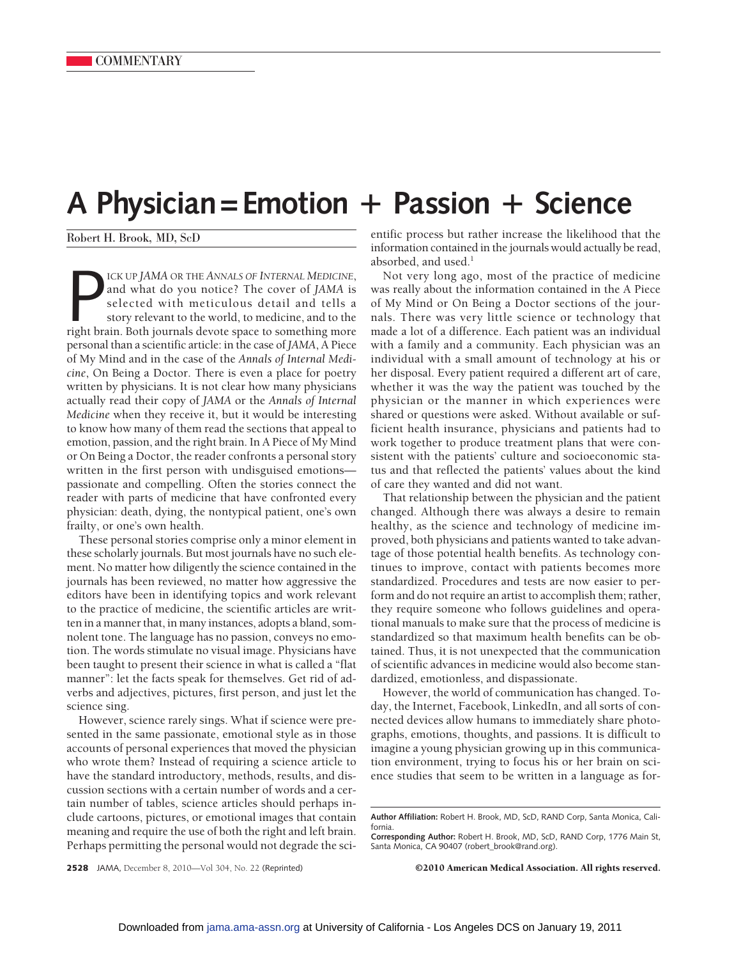## $A$  Physician = Emotion + Passion + Science

Robert H. Brook, MD, ScD

FIGUP JAMA OR THE ANNALS OF INTERNAL MEDICINE, and what do you notice? The cover of JAMA is selected with meticulous detail and tells a story relevant to the world, to medicine, and to the right brain. Both journals devote ICK UP *JAMA* OR THE *ANNALS OF INTERNAL MEDICINE*, and what do you notice? The cover of *JAMA* is selected with meticulous detail and tells a story relevant to the world, to medicine, and to the personal than a scientific article: in the case of *JAMA*, A Piece of My Mind and in the case of the *Annals of Internal Medicine*, On Being a Doctor. There is even a place for poetry written by physicians. It is not clear how many physicians actually read their copy of *JAMA* or the *Annals of Internal Medicine* when they receive it, but it would be interesting to know how many of them read the sections that appeal to emotion, passion, and the right brain. In A Piece of My Mind or On Being a Doctor, the reader confronts a personal story written in the first person with undisguised emotions passionate and compelling. Often the stories connect the reader with parts of medicine that have confronted every physician: death, dying, the nontypical patient, one's own frailty, or one's own health.

These personal stories comprise only a minor element in these scholarly journals. But most journals have no such element. No matter how diligently the science contained in the journals has been reviewed, no matter how aggressive the editors have been in identifying topics and work relevant to the practice of medicine, the scientific articles are written in a manner that, in many instances, adopts a bland, somnolent tone. The language has no passion, conveys no emotion. The words stimulate no visual image. Physicians have been taught to present their science in what is called a "flat manner": let the facts speak for themselves. Get rid of adverbs and adjectives, pictures, first person, and just let the science sing.

However, science rarely sings. What if science were presented in the same passionate, emotional style as in those accounts of personal experiences that moved the physician who wrote them? Instead of requiring a science article to have the standard introductory, methods, results, and discussion sections with a certain number of words and a certain number of tables, science articles should perhaps include cartoons, pictures, or emotional images that contain meaning and require the use of both the right and left brain. Perhaps permitting the personal would not degrade the scientific process but rather increase the likelihood that the information contained in the journals would actually be read, absorbed, and used. $<sup>1</sup>$ </sup>

Not very long ago, most of the practice of medicine was really about the information contained in the A Piece of My Mind or On Being a Doctor sections of the journals. There was very little science or technology that made a lot of a difference. Each patient was an individual with a family and a community. Each physician was an individual with a small amount of technology at his or her disposal. Every patient required a different art of care, whether it was the way the patient was touched by the physician or the manner in which experiences were shared or questions were asked. Without available or sufficient health insurance, physicians and patients had to work together to produce treatment plans that were consistent with the patients' culture and socioeconomic status and that reflected the patients' values about the kind of care they wanted and did not want.

That relationship between the physician and the patient changed. Although there was always a desire to remain healthy, as the science and technology of medicine improved, both physicians and patients wanted to take advantage of those potential health benefits. As technology continues to improve, contact with patients becomes more standardized. Procedures and tests are now easier to perform and do not require an artist to accomplish them; rather, they require someone who follows guidelines and operational manuals to make sure that the process of medicine is standardized so that maximum health benefits can be obtained. Thus, it is not unexpected that the communication of scientific advances in medicine would also become standardized, emotionless, and dispassionate.

However, the world of communication has changed. Today, the Internet, Facebook, LinkedIn, and all sorts of connected devices allow humans to immediately share photographs, emotions, thoughts, and passions. It is difficult to imagine a young physician growing up in this communication environment, trying to focus his or her brain on science studies that seem to be written in a language as for-

**2528** JAMA, December 8, 2010—Vol 304, No. 22 (Reprinted) ©2010 American Medical Association. All rights reserved.

**Author Affiliation:** Robert H. Brook, MD, ScD, RAND Corp, Santa Monica, California.

**Corresponding Author:** Robert H. Brook, MD, ScD, RAND Corp, 1776 Main St, Santa Monica, CA 90407 (robert\_brook@rand.org).